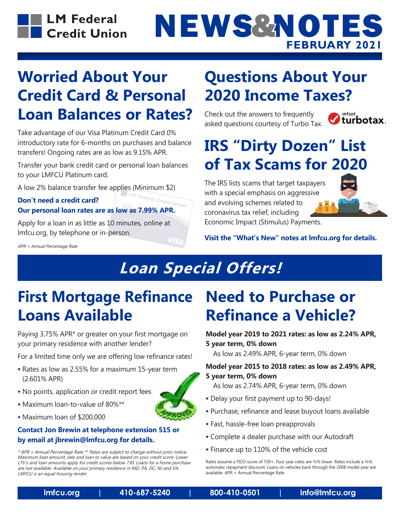

# NEWS&NOTES **FEBRUARY 2021**

### **Worried About Your Credit Card & Personal Loan Balances or Rates?**

Take advantage of our Visa Platinum Credit Card 0% introductory rate for 6-months on purchases and balance transfers! Ongoing rates are as low as 9.15% APR.

Transfer your bank credit card or personal loan balances to your LMFCU Platinum card.

### A low 2% balance transfer fee applies (Minimum \$2)<br> $\sim$  --14 mood a credit card? **Don't need a credit card? Our personal loan rates are as low as 7.99% APR.**

Apply for a loan in as little as 10 minutes, online at lmfcu.org, by telephone or in-person.

APR = Annual Percentage Rate

### **Questions About Your 2020 Income Taxes?**

Check out the answers to frequently asked questions courtesy of Turbo Tax.



# **IRS "Dirty Dozen" List of Tax Scams for 2020**

The IRS lists scams that target taxpayers with a special emphasis on aggressive and evolving schemes related to coronavirus tax relief, including Economic Impact (Stimulus) Payments.



**Visit the "What's New" notes at lmfcu.org for details.**

# **Loan Special Offers!**

### **First Mortgage Refinance Loans Available**

Paying 3.75% APR\* or greater on your first mortgage on your primary residence with another lender?

For a limited time only we are offering low refinance rates!

- Rates as low as 2.55% for a maximum 15-year term (2.601% APR)
- No points, application or credit report fees
- Maximum loan-to-value of 80%\*\*
- Maximum loan of \$200,000

#### **Contact Jon Brewin at telephone extension 515 or by email at jbrewin@lmfcu.org for details.**

\* APR = Annual Percentage Rate \*\* Rates are subject to change without prior notice. Maximum loan amount, rate and loan to value are based on your credit score. Lower LTV's and loan amounts apply for credit scores below 730. Loans for a home purchase are not available. Available on your primary residence in MD, PA, DC, NJ and VA. LMFCU is an equal housing lender.

### **Need to Purchase or Refinance a Vehicle?**

**Model year 2019 to 2021 rates: as low as 2.24% APR, 5 year term, 0% down**

As low as 2.49% APR, 6-year term, 0% down

#### **Model year 2015 to 2018 rates: as low as 2.49% APR, 5 year term, 0% down**

- As low as 2.74% APR, 6-year term, 0% down
- Delay your first payment up to 90-days!
- Purchase, refinance and lease buyout loans available
- Fast, hassle-free loan preapprovals
- Complete a dealer purchase with our Autodraft
- **Finance up to 110% of the vehicle cost**

Rates assume a FICO score of 730+. Four year rates are ¼% lower. Rates include a ¼% automatic repayment discount. Loans on vehicles back through the 2008 model year are available. APR = Annual Percentage Rate